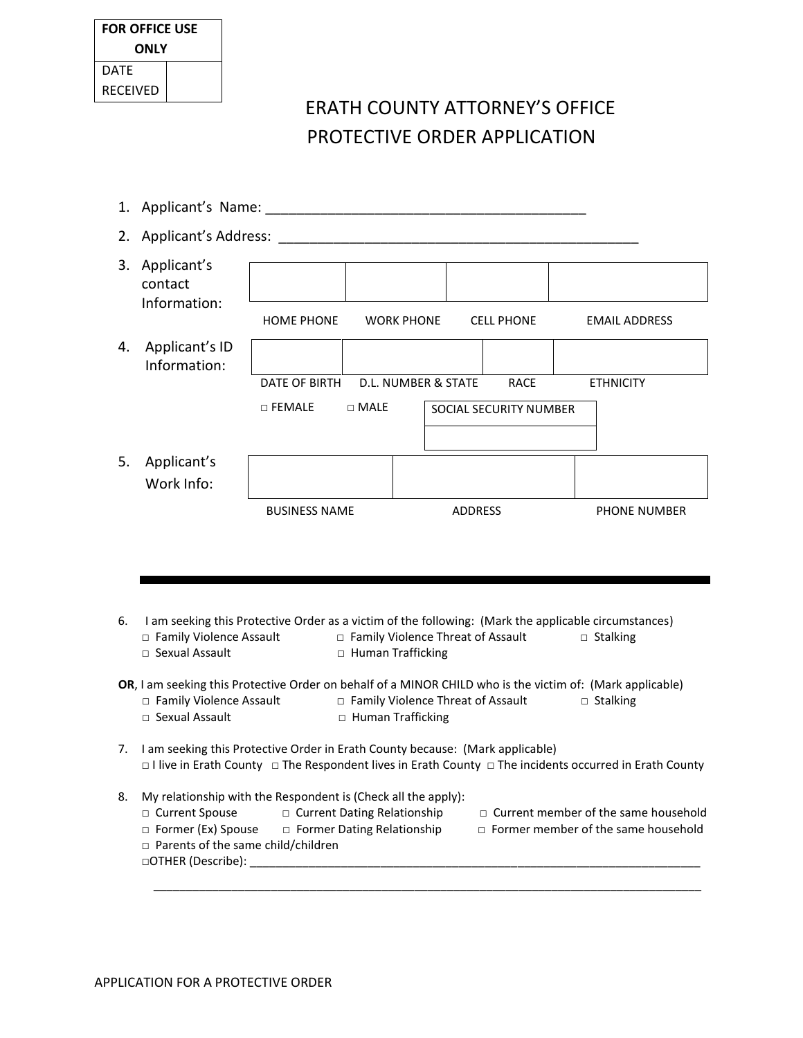| <b>FOR OFFICE USE</b> |  |  |  |  |
|-----------------------|--|--|--|--|
| ONLY                  |  |  |  |  |
| DATF                  |  |  |  |  |
| <b>RECEIVED</b>       |  |  |  |  |

## ERATH COUNTY ATTORNEY'S OFFICE PROTECTIVE ORDER APPLICATION

| 2. | Applicant's Address:                                                                                                                                                                      |                      |                                            |                                     |                        |                      |
|----|-------------------------------------------------------------------------------------------------------------------------------------------------------------------------------------------|----------------------|--------------------------------------------|-------------------------------------|------------------------|----------------------|
| 3. | Applicant's<br>contact<br>Information:                                                                                                                                                    |                      |                                            |                                     |                        |                      |
|    |                                                                                                                                                                                           | <b>HOME PHONE</b>    |                                            | <b>WORK PHONE</b>                   | <b>CELL PHONE</b>      | <b>EMAIL ADDRESS</b> |
| 4. | Applicant's ID<br>Information:                                                                                                                                                            |                      |                                            |                                     |                        |                      |
|    |                                                                                                                                                                                           | DATE OF BIRTH        |                                            | D.L. NUMBER & STATE                 | <b>RACE</b>            | <b>ETHNICITY</b>     |
|    |                                                                                                                                                                                           | $\Box$ FEMALE        | $\Box$ MALE                                |                                     | SOCIAL SECURITY NUMBER |                      |
|    |                                                                                                                                                                                           |                      |                                            |                                     |                        |                      |
| 5. | Applicant's<br>Work Info:                                                                                                                                                                 |                      |                                            |                                     |                        |                      |
|    |                                                                                                                                                                                           |                      |                                            |                                     |                        |                      |
|    |                                                                                                                                                                                           | <b>BUSINESS NAME</b> |                                            |                                     | ADDRESS                | <b>PHONE NUMBER</b>  |
| 6. | I am seeking this Protective Order as a victim of the following: (Mark the applicable circumstances)<br>□ Family Violence Assault<br>□ Sexual Assault                                     |                      |                                            | □ Family Violence Threat of Assault |                        | $\Box$ Stalking      |
|    | OR, I am seeking this Protective Order on behalf of a MINOR CHILD who is the victim of: (Mark applicable)<br>□ Family Violence Assault<br>□ Sexual Assault                                |                      | □ Human Trafficking<br>□ Human Trafficking | □ Family Violence Threat of Assault |                        | $\Box$ Stalking      |
| 7. | I am seeking this Protective Order in Erath County because: (Mark applicable)<br>□ I live in Erath County □ The Respondent lives in Erath County □ The incidents occurred in Erath County |                      |                                            |                                     |                        |                      |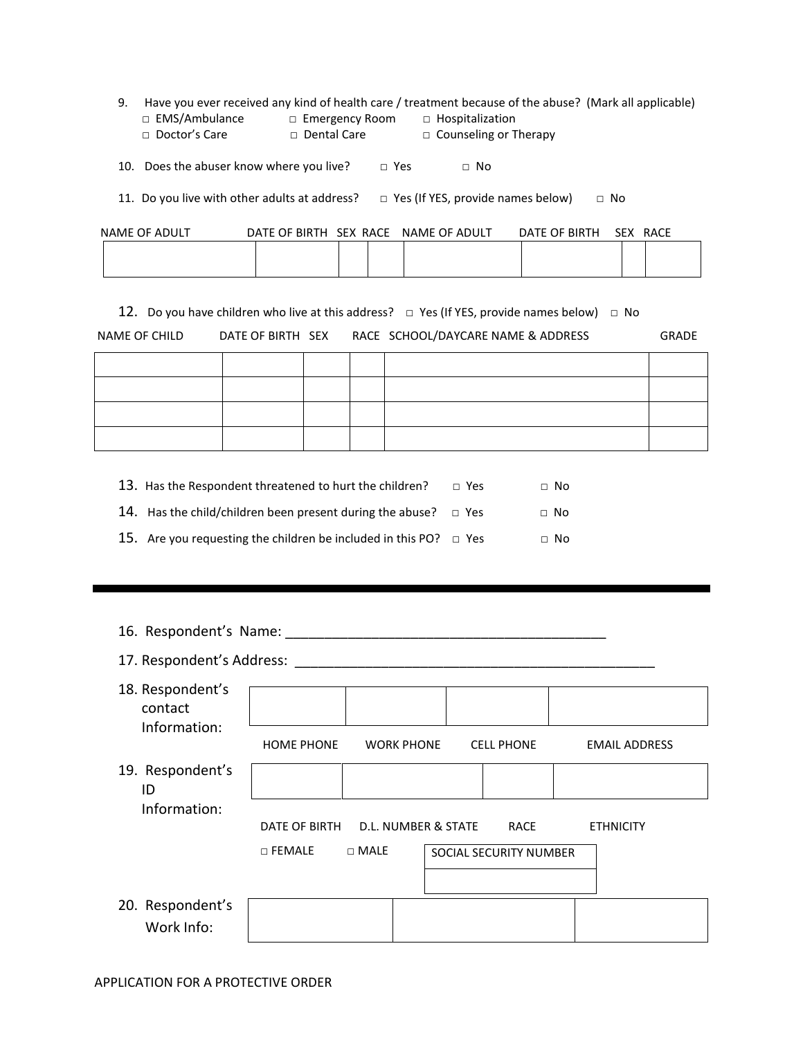|                 |                       | 9. Have you ever received any kind of health care / treatment because of the abuse? (Mark all applicable) |  |
|-----------------|-----------------------|-----------------------------------------------------------------------------------------------------------|--|
| □ EMS/Ambulance | $\Box$ Emergency Room | $\Box$ Hospitalization                                                                                    |  |
| □ Doctor's Care | □ Dental Care         | $\Box$ Counseling or Therapy                                                                              |  |
|                 |                       |                                                                                                           |  |

10. Does the abuser know where you live?  $\Box$  Yes  $\Box$  No

11. Do you live with other adults at address?  $□$  Yes (If YES, provide names below)  $□$  No

| NAME OF ADULT | DATE OF BIRTH SEX RACE | NAME OF ADULT | DATE OF BIRTH | <b>SEX</b> | RACE |
|---------------|------------------------|---------------|---------------|------------|------|
|               |                        |               |               |            |      |
|               |                        |               |               |            |      |

12. Do you have children who live at this address?  $\Box$  Yes (If YES, provide names below)  $\Box$  No

| NAME OF CHILD | DATE OF BIRTH SEX | RACE SCHOOL/DAYCARE NAME & ADDRESS | <b>GRADE</b> |
|---------------|-------------------|------------------------------------|--------------|
|---------------|-------------------|------------------------------------|--------------|

| 13. Has the Respondent threatened to hurt the children?                | $\Box$ Yes | $\Box$ No |
|------------------------------------------------------------------------|------------|-----------|
| 14. Has the child/children been present during the abuse? $\Box$ Yes   |            | $\Box$ No |
| 15. Are you requesting the children be included in this PO? $\Box$ Yes |            | $\Box$ No |

| 16. Respondent's Name:      |                                   |                   |  |                        |  |                      |  |
|-----------------------------|-----------------------------------|-------------------|--|------------------------|--|----------------------|--|
| 17. Respondent's Address:   |                                   |                   |  |                        |  |                      |  |
| 18. Respondent's<br>contact |                                   |                   |  |                        |  |                      |  |
| Information:                | <b>HOME PHONE</b>                 | <b>WORK PHONE</b> |  | <b>CELL PHONE</b>      |  | <b>EMAIL ADDRESS</b> |  |
| 19. Respondent's<br>ID      |                                   |                   |  |                        |  |                      |  |
| Information:                | DATE OF BIRTH D.L. NUMBER & STATE |                   |  | <b>RACE</b>            |  | <b>ETHNICITY</b>     |  |
|                             | $\sqcap$ FEMALE                   | $\sqcap$ MALE     |  | SOCIAL SECURITY NUMBER |  |                      |  |
|                             |                                   |                   |  |                        |  |                      |  |

20. Respondent's Work Info: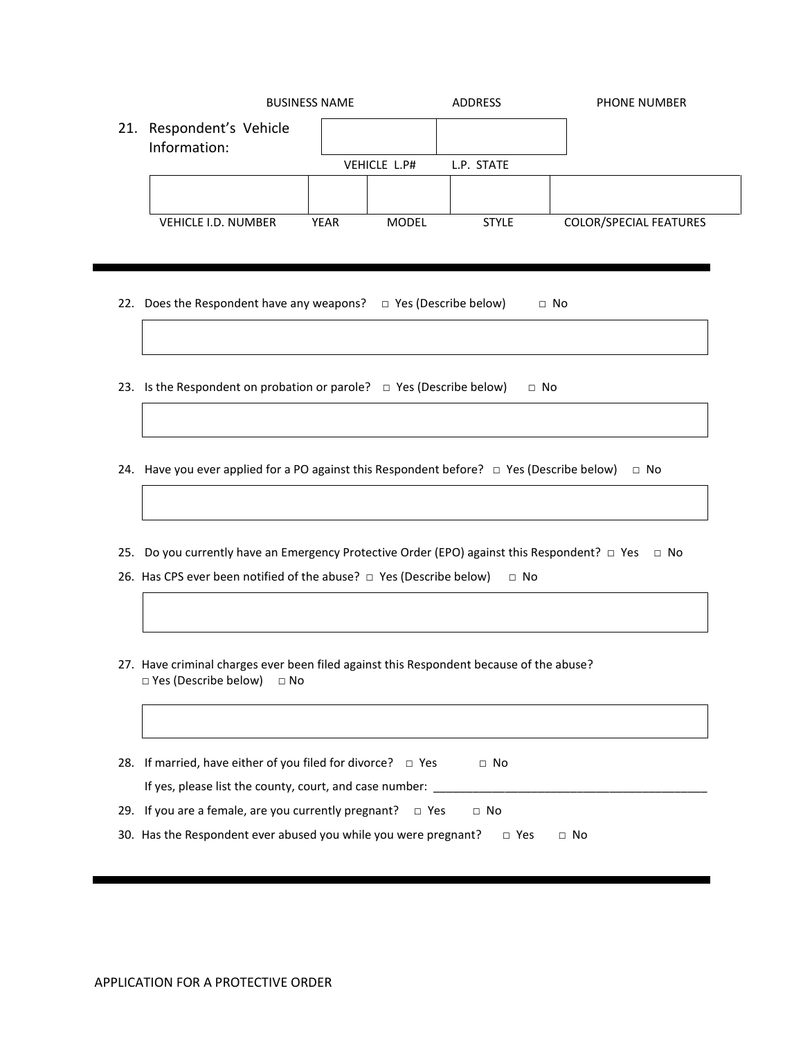|                                          | <b>BUSINESS NAME</b> |              | <b>ADDRESS</b> | <b>PHONE NUMBER</b>           |
|------------------------------------------|----------------------|--------------|----------------|-------------------------------|
| 21. Respondent's Vehicle<br>Information: |                      |              |                |                               |
|                                          |                      | VEHICLE L.P# | L.P. STATE     |                               |
|                                          |                      |              |                |                               |
| <b>VEHICLE I.D. NUMBER</b>               | <b>YEAR</b>          | <b>MODEL</b> | <b>STYLE</b>   | <b>COLOR/SPECIAL FEATURES</b> |
|                                          |                      |              |                |                               |

- 22. Does the Respondent have any weapons?  $\Box$  Yes (Describe below)  $\Box$  No
- 23. Is the Respondent on probation or parole?  $\Box$  Yes (Describe below)  $\Box$  No
- 24. Have you ever applied for a PO against this Respondent before?  $\Box$  Yes (Describe below)  $\Box$  No
- 25. Do you currently have an Emergency Protective Order (EPO) against this Respondent? □ Yes □ No
- 26. Has CPS ever been notified of the abuse?  $\Box$  Yes (Describe below)  $\Box$  No
- 27. Have criminal charges ever been filed against this Respondent because of the abuse? □ Yes (Describe below) □ No
- 28. If married, have either of you filed for divorce?  $\Box$  Yes  $\Box$  No If yes, please list the county, court, and case number:  $\frac{1}{\sqrt{1-\frac{1}{2}}}$ 29. If you are a female, are you currently pregnant?  $\Box$  Yes  $\Box$  No 30. Has the Respondent ever abused you while you were pregnant?  $\Box$  Yes  $\Box$  No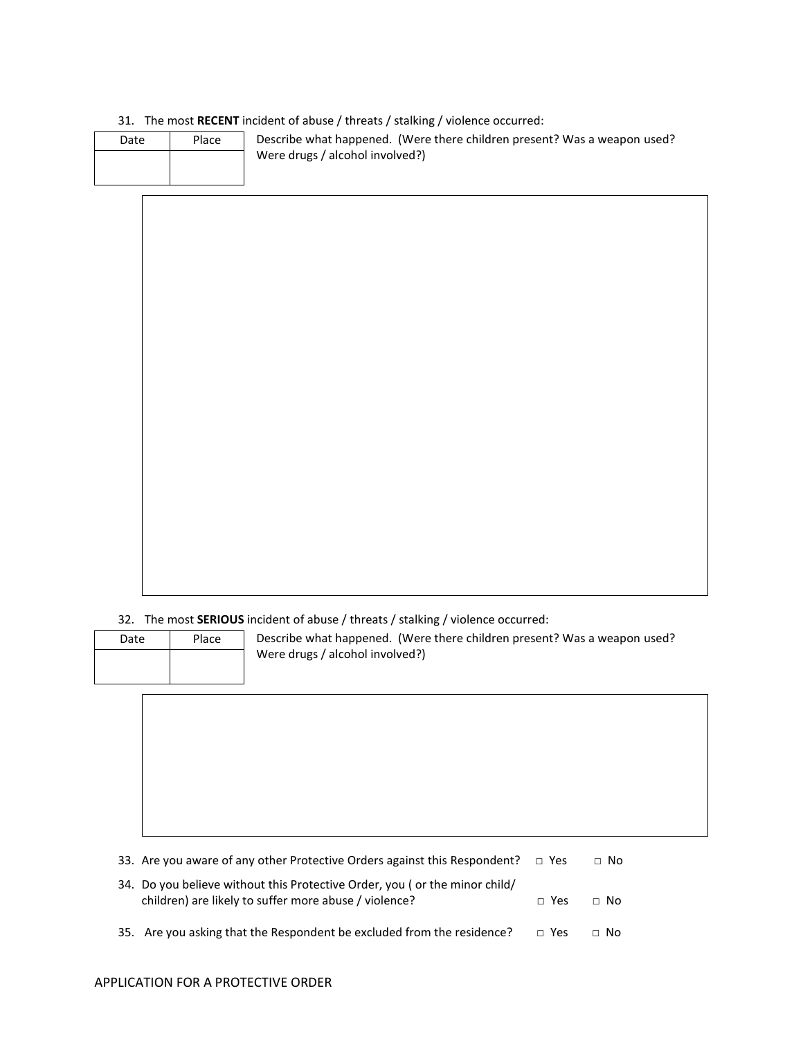## 31. The most **RECENT** incident of abuse / threats / stalking / violence occurred:

| Date | Place | Describe what happened. (Were there children present? Was a weapon used? |
|------|-------|--------------------------------------------------------------------------|
|      |       | Were drugs / alcohol involved?)                                          |
|      |       |                                                                          |

## 32. The most **SERIOUS** incident of abuse / threats / stalking / violence occurred:

| Date | Place |  |
|------|-------|--|
|      |       |  |
|      |       |  |

Describe what happened. (Were there children present? Was a weapon used? Were drugs / alcohol involved?)

| 33. Are you aware of any other Protective Orders against this Respondent? $\Box$ Yes                                                |            | $\Box$ No |  |
|-------------------------------------------------------------------------------------------------------------------------------------|------------|-----------|--|
| 34. Do you believe without this Protective Order, you (or the minor child/<br>children) are likely to suffer more abuse / violence? | $\Box$ Yes | ⊟ No      |  |
| 35. Are you asking that the Respondent be excluded from the residence?                                                              | $\Box$ Yes | $\Box$ No |  |